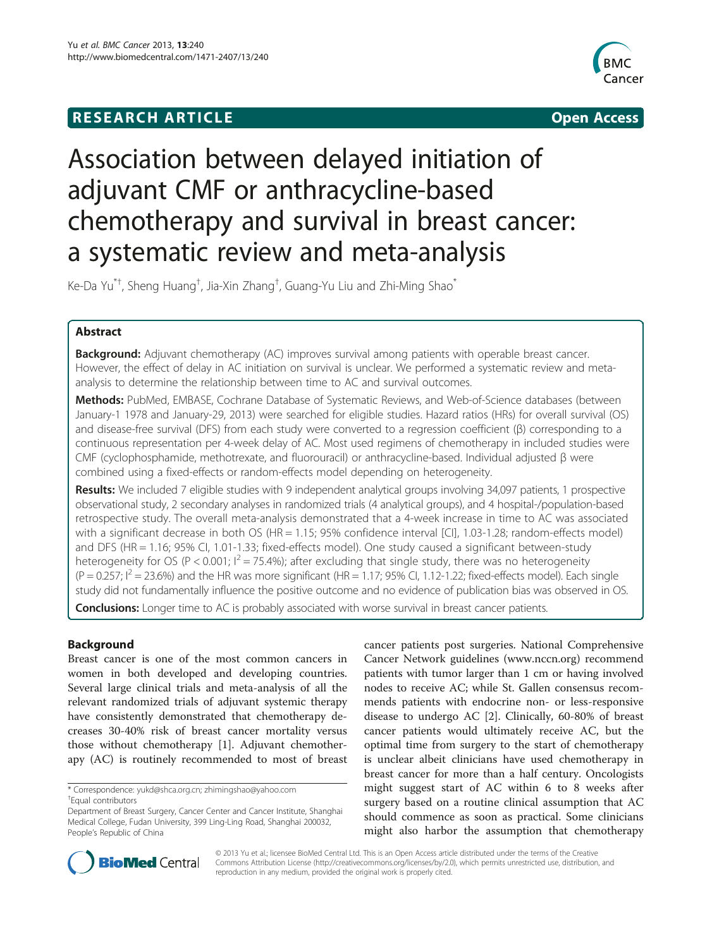# **RESEARCH ARTICLE Example 2008 CONSIDERING CONSIDERING CONSIDERING CONSIDERING CONSIDERING CONSIDERING CONSIDERING CONSIDERING CONSIDERING CONSIDERING CONSIDERING CONSIDERING CONSIDERING CONSIDERING CONSIDERING CONSIDE**



# Association between delayed initiation of adjuvant CMF or anthracycline-based chemotherapy and survival in breast cancer: a systematic review and meta-analysis

Ke-Da Yu $^{\ast+}$ , Sheng Huang $^{\dag}$ , Jia-Xin Zhang $^{\dag}$ , Guang-Yu Liu and Zhi-Ming Shao $^{\ast}$ 

# Abstract

Background: Adjuvant chemotherapy (AC) improves survival among patients with operable breast cancer. However, the effect of delay in AC initiation on survival is unclear. We performed a systematic review and metaanalysis to determine the relationship between time to AC and survival outcomes.

Methods: PubMed, EMBASE, Cochrane Database of Systematic Reviews, and Web-of-Science databases (between January-1 1978 and January-29, 2013) were searched for eligible studies. Hazard ratios (HRs) for overall survival (OS) and disease-free survival (DFS) from each study were converted to a regression coefficient (β) corresponding to a continuous representation per 4-week delay of AC. Most used regimens of chemotherapy in included studies were CMF (cyclophosphamide, methotrexate, and fluorouracil) or anthracycline-based. Individual adjusted β were combined using a fixed-effects or random-effects model depending on heterogeneity.

Results: We included 7 eligible studies with 9 independent analytical groups involving 34,097 patients, 1 prospective observational study, 2 secondary analyses in randomized trials (4 analytical groups), and 4 hospital-/population-based retrospective study. The overall meta-analysis demonstrated that a 4-week increase in time to AC was associated with a significant decrease in both OS (HR = 1.15; 95% confidence interval [CI], 1.03-1.28; random-effects model) and DFS (HR = 1.16; 95% CI, 1.01-1.33; fixed-effects model). One study caused a significant between-study heterogeneity for OS (P < 0.001;  $I^2 = 75.4\%$ ); after excluding that single study, there was no heterogeneity  $(P = 0.257; I^2 = 23.6\%)$  and the HR was more significant (HR = 1.17; 95% CI, 1.12-1.22; fixed-effects model). Each single study did not fundamentally influence the positive outcome and no evidence of publication bias was observed in OS. **Conclusions:** Longer time to AC is probably associated with worse survival in breast cancer patients.

# Background

Breast cancer is one of the most common cancers in women in both developed and developing countries. Several large clinical trials and meta-analysis of all the relevant randomized trials of adjuvant systemic therapy have consistently demonstrated that chemotherapy decreases 30-40% risk of breast cancer mortality versus those without chemotherapy [[1\]](#page-8-0). Adjuvant chemotherapy (AC) is routinely recommended to most of breast

cancer patients post surgeries. National Comprehensive Cancer Network guidelines ([www.nccn.org\)](http://www.nccn.org/) recommend patients with tumor larger than 1 cm or having involved nodes to receive AC; while St. Gallen consensus recommends patients with endocrine non- or less-responsive disease to undergo AC [[2\]](#page-8-0). Clinically, 60-80% of breast cancer patients would ultimately receive AC, but the optimal time from surgery to the start of chemotherapy is unclear albeit clinicians have used chemotherapy in breast cancer for more than a half century. Oncologists might suggest start of AC within 6 to 8 weeks after surgery based on a routine clinical assumption that AC should commence as soon as practical. Some clinicians might also harbor the assumption that chemotherapy



© 2013 Yu et al.; licensee BioMed Central Ltd. This is an Open Access article distributed under the terms of the Creative Commons Attribution License [\(http://creativecommons.org/licenses/by/2.0\)](http://creativecommons.org/licenses/by/2.0), which permits unrestricted use, distribution, and reproduction in any medium, provided the original work is properly cited.

<sup>\*</sup> Correspondence: [yukd@shca.org.cn;](mailto:yukd@shca.org.cn) [zhimingshao@yahoo.com](mailto:zhimingshao@yahoo.com) †

Equal contributors

Department of Breast Surgery, Cancer Center and Cancer Institute, Shanghai Medical College, Fudan University, 399 Ling-Ling Road, Shanghai 200032, People's Republic of China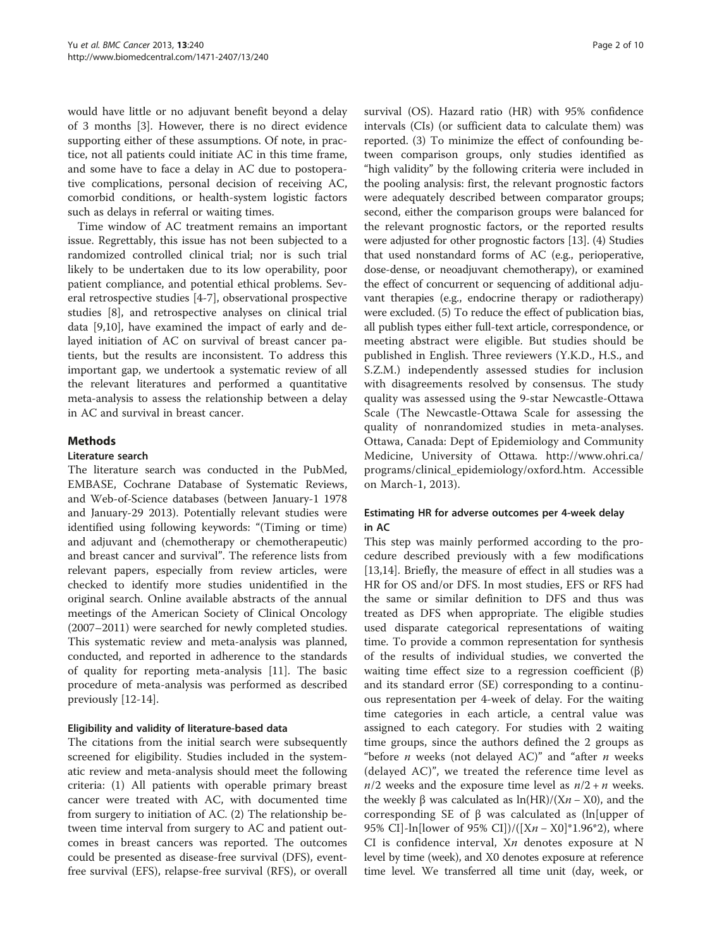<span id="page-1-0"></span>would have little or no adjuvant benefit beyond a delay of 3 months [[3\]](#page-8-0). However, there is no direct evidence supporting either of these assumptions. Of note, in practice, not all patients could initiate AC in this time frame, and some have to face a delay in AC due to postoperative complications, personal decision of receiving AC, comorbid conditions, or health-system logistic factors such as delays in referral or waiting times.

Time window of AC treatment remains an important issue. Regrettably, this issue has not been subjected to a randomized controlled clinical trial; nor is such trial likely to be undertaken due to its low operability, poor patient compliance, and potential ethical problems. Several retrospective studies [[4-7](#page-8-0)], observational prospective studies [\[8](#page-8-0)], and retrospective analyses on clinical trial data [\[9,10](#page-8-0)], have examined the impact of early and delayed initiation of AC on survival of breast cancer patients, but the results are inconsistent. To address this important gap, we undertook a systematic review of all the relevant literatures and performed a quantitative meta-analysis to assess the relationship between a delay in AC and survival in breast cancer.

## **Methods**

## Literature search

The literature search was conducted in the PubMed, EMBASE, Cochrane Database of Systematic Reviews, and Web-of-Science databases (between January-1 1978 and January-29 2013). Potentially relevant studies were identified using following keywords: "(Timing or time) and adjuvant and (chemotherapy or chemotherapeutic) and breast cancer and survival". The reference lists from relevant papers, especially from review articles, were checked to identify more studies unidentified in the original search. Online available abstracts of the annual meetings of the American Society of Clinical Oncology (2007–2011) were searched for newly completed studies. This systematic review and meta-analysis was planned, conducted, and reported in adherence to the standards of quality for reporting meta-analysis [[11\]](#page-8-0). The basic procedure of meta-analysis was performed as described previously [\[12](#page-8-0)-[14\]](#page-8-0).

## Eligibility and validity of literature-based data

The citations from the initial search were subsequently screened for eligibility. Studies included in the systematic review and meta-analysis should meet the following criteria: (1) All patients with operable primary breast cancer were treated with AC, with documented time from surgery to initiation of AC. (2) The relationship between time interval from surgery to AC and patient outcomes in breast cancers was reported. The outcomes could be presented as disease-free survival (DFS), eventfree survival (EFS), relapse-free survival (RFS), or overall

survival (OS). Hazard ratio (HR) with 95% confidence intervals (CIs) (or sufficient data to calculate them) was reported. (3) To minimize the effect of confounding between comparison groups, only studies identified as "high validity" by the following criteria were included in the pooling analysis: first, the relevant prognostic factors were adequately described between comparator groups; second, either the comparison groups were balanced for the relevant prognostic factors, or the reported results were adjusted for other prognostic factors [\[13\]](#page-8-0). (4) Studies that used nonstandard forms of AC (e.g., perioperative, dose-dense, or neoadjuvant chemotherapy), or examined the effect of concurrent or sequencing of additional adjuvant therapies (e.g., endocrine therapy or radiotherapy) were excluded. (5) To reduce the effect of publication bias, all publish types either full-text article, correspondence, or meeting abstract were eligible. But studies should be published in English. Three reviewers (Y.K.D., H.S., and S.Z.M.) independently assessed studies for inclusion with disagreements resolved by consensus. The study quality was assessed using the 9-star Newcastle-Ottawa Scale (The Newcastle-Ottawa Scale for assessing the quality of nonrandomized studies in meta-analyses. Ottawa, Canada: Dept of Epidemiology and Community Medicine, University of Ottawa. [http://www.ohri.ca/](http://www.ohri.ca/programs/clinical_epidemiology/oxford.htm) [programs/clinical\\_epidemiology/oxford.htm.](http://www.ohri.ca/programs/clinical_epidemiology/oxford.htm) Accessible on March-1, 2013).

# Estimating HR for adverse outcomes per 4-week delay in AC

This step was mainly performed according to the procedure described previously with a few modifications [[13,14\]](#page-8-0). Briefly, the measure of effect in all studies was a HR for OS and/or DFS. In most studies, EFS or RFS had the same or similar definition to DFS and thus was treated as DFS when appropriate. The eligible studies used disparate categorical representations of waiting time. To provide a common representation for synthesis of the results of individual studies, we converted the waiting time effect size to a regression coefficient  $(β)$ and its standard error (SE) corresponding to a continuous representation per 4-week of delay. For the waiting time categories in each article, a central value was assigned to each category. For studies with 2 waiting time groups, since the authors defined the 2 groups as "before *n* weeks (not delayed AC)" and "after *n* weeks (delayed AC)", we treated the reference time level as  $n/2$  weeks and the exposure time level as  $n/2 + n$  weeks. the weekly β was calculated as  $ln(HR)/(Xn - X0)$ , and the corresponding SE of β was calculated as (ln[upper of 95% CI]-ln[lower of 95% CI])/( $[Xn - X0]^*1.96^*2$ ), where CI is confidence interval,  $X_n$  denotes exposure at N level by time (week), and X0 denotes exposure at reference time level. We transferred all time unit (day, week, or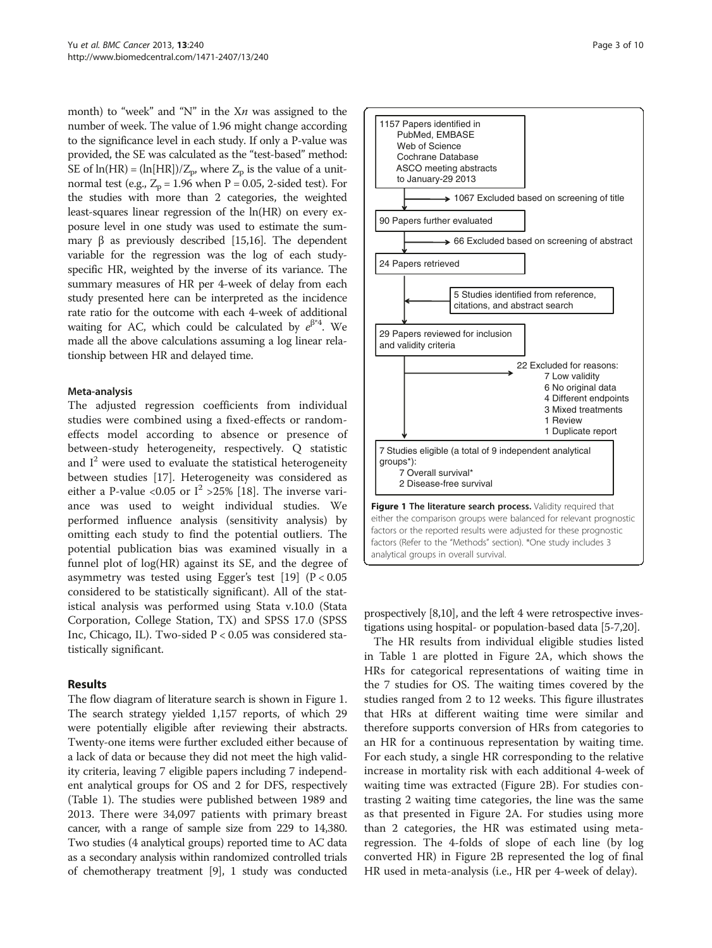month) to "week" and "N" in the  $Xn$  was assigned to the number of week. The value of 1.96 might change according to the significance level in each study. If only a P-value was provided, the SE was calculated as the "test-based" method: SE of  $ln(HR) = (ln[HR])/Z_p$ , where  $Z_p$  is the value of a unitnormal test (e.g.,  $Z_p = 1.96$  when  $P = 0.05$ , 2-sided test). For the studies with more than 2 categories, the weighted least-squares linear regression of the ln(HR) on every exposure level in one study was used to estimate the sum-mary β as previously described [[15,16\]](#page-8-0). The dependent variable for the regression was the log of each studyspecific HR, weighted by the inverse of its variance. The summary measures of HR per 4-week of delay from each study presented here can be interpreted as the incidence rate ratio for the outcome with each 4-week of additional waiting for AC, which could be calculated by  $e^{\beta^*4}$ . We made all the above calculations assuming a log linear relationship between HR and delayed time.

#### Meta-analysis

The adjusted regression coefficients from individual studies were combined using a fixed-effects or randomeffects model according to absence or presence of between-study heterogeneity, respectively. Q statistic and  $I<sup>2</sup>$  were used to evaluate the statistical heterogeneity between studies [\[17](#page-8-0)]. Heterogeneity was considered as either a P-value <0.05 or  $I^2 > 25\%$  [[18](#page-8-0)]. The inverse variance was used to weight individual studies. We performed influence analysis (sensitivity analysis) by omitting each study to find the potential outliers. The potential publication bias was examined visually in a funnel plot of log(HR) against its SE, and the degree of asymmetry was tested using Egger's test [[19\]](#page-8-0)  $(P < 0.05$ considered to be statistically significant). All of the statistical analysis was performed using Stata v.10.0 (Stata Corporation, College Station, TX) and SPSS 17.0 (SPSS Inc, Chicago, IL). Two-sided P < 0.05 was considered statistically significant.

#### Results

The flow diagram of literature search is shown in Figure 1. The search strategy yielded 1,157 reports, of which 29 were potentially eligible after reviewing their abstracts. Twenty-one items were further excluded either because of a lack of data or because they did not meet the high validity criteria, leaving 7 eligible papers including 7 independent analytical groups for OS and 2 for DFS, respectively (Table [1](#page-3-0)). The studies were published between 1989 and 2013. There were 34,097 patients with primary breast cancer, with a range of sample size from 229 to 14,380. Two studies (4 analytical groups) reported time to AC data as a secondary analysis within randomized controlled trials of chemotherapy treatment [[9\]](#page-8-0), 1 study was conducted



prospectively [\[8,10](#page-8-0)], and the left 4 were retrospective investigations using hospital- or population-based data [[5-7,20](#page-8-0)].

The HR results from individual eligible studies listed in Table [1](#page-3-0) are plotted in Figure [2A](#page-5-0), which shows the HRs for categorical representations of waiting time in the 7 studies for OS. The waiting times covered by the studies ranged from 2 to 12 weeks. This figure illustrates that HRs at different waiting time were similar and therefore supports conversion of HRs from categories to an HR for a continuous representation by waiting time. For each study, a single HR corresponding to the relative increase in mortality risk with each additional 4-week of waiting time was extracted (Figure [2](#page-5-0)B). For studies contrasting 2 waiting time categories, the line was the same as that presented in Figure [2A](#page-5-0). For studies using more than 2 categories, the HR was estimated using metaregression. The 4-folds of slope of each line (by log converted HR) in Figure [2](#page-5-0)B represented the log of final HR used in meta-analysis (i.e., HR per 4-week of delay).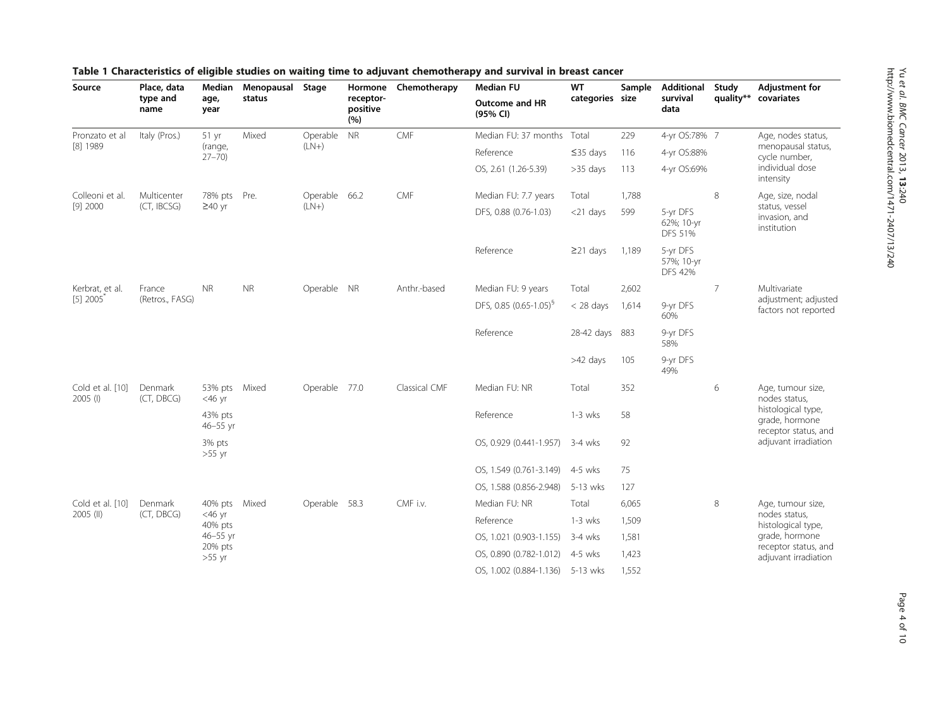| Source                         | Place, data<br>type and<br>name | Median<br>age,<br>year                                                   | Menopausal Stage<br>status | ---- - -                 | receptor-<br>positive<br>(%) | Hormone Chemotherapy | <b>Median FU</b><br><b>Outcome and HR</b><br>(95% CI) | WT<br>categories size | Sample | <b>Additional</b><br>survival<br>data    | Study<br>quality** | <b>Adjustment for</b><br>covariates                                |
|--------------------------------|---------------------------------|--------------------------------------------------------------------------|----------------------------|--------------------------|------------------------------|----------------------|-------------------------------------------------------|-----------------------|--------|------------------------------------------|--------------------|--------------------------------------------------------------------|
| Pronzato et al<br>[8] 1989     | Italy (Pros.)                   | $51$ yr<br>(range,<br>$27 - 70$                                          | Mixed                      | Operable NR<br>$(LN+)$   |                              | CMF                  | Median FU: 37 months Total                            |                       | 229    | 4-yr OS:78% 7                            |                    | Age, nodes status,                                                 |
|                                |                                 |                                                                          |                            |                          |                              |                      | Reference                                             | $\leq$ 35 days        | 116    | 4-yr OS:88%                              |                    | menopausal status,<br>cycle number,                                |
|                                |                                 |                                                                          |                            |                          |                              |                      | OS, 2.61 (1.26-5.39)                                  | $>35$ days            | 113    | 4-yr OS:69%                              |                    | individual dose<br>intensity                                       |
| Colleoni et al.<br>$[9]$ 2000  | Multicenter<br>(CT, IBCSG)      | 78% pts Pre.<br>$\geq$ 40 yr                                             |                            | Operable 66.2<br>$(LN+)$ |                              | CMF                  | Median FU: 7.7 years                                  | Total                 | 1,788  |                                          | 8                  | Age, size, nodal<br>status, vessel<br>invasion, and<br>institution |
|                                |                                 |                                                                          |                            |                          |                              |                      | DFS, 0.88 (0.76-1.03)                                 | $<$ 21 days           | 599    | 5-yr DFS<br>62%; 10-yr<br><b>DFS 51%</b> |                    |                                                                    |
|                                |                                 |                                                                          |                            |                          |                              |                      | Reference                                             | $\geq$ 21 days        | 1,189  | 5-yr DFS<br>57%; 10-yr<br><b>DFS 42%</b> |                    |                                                                    |
| Kerbrat, et al.<br>$[5]$ 2005  | France<br>(Retros., FASG)       | <b>NR</b>                                                                | <b>NR</b>                  | Operable NR              |                              | Anthr.-based         | Median FU: 9 years                                    | Total                 | 2,602  |                                          | 7                  | Multivariate<br>adjustment; adjusted<br>factors not reported       |
|                                |                                 |                                                                          |                            |                          |                              |                      | DFS, 0.85 (0.65-1.05) <sup>§</sup>                    | $<$ 28 days           | 1,614  | 9-yr DFS<br>60%                          |                    |                                                                    |
|                                |                                 |                                                                          |                            |                          |                              |                      | Reference                                             | 28-42 days            | 883    | 9-yr DFS<br>58%                          |                    |                                                                    |
|                                |                                 |                                                                          |                            |                          |                              |                      |                                                       | >42 days              | 105    | 9-yr DFS<br>49%                          |                    |                                                                    |
| Cold et al. [10]<br>$2005$ (I) | Denmark<br>(CT, DBCG)           | 53% pts Mixed<br>$<$ 46 yr                                               |                            | Operable 77.0            |                              | Classical CMF        | Median FU: NR                                         | Total                 | 352    |                                          | 6                  | Age, tumour size,<br>nodes status,                                 |
|                                |                                 | 43% pts<br>$46 - 55$ yr                                                  |                            |                          |                              |                      | Reference                                             | $1-3$ wks             | 58     |                                          |                    | histological type,<br>grade, hormone<br>receptor status, and       |
|                                |                                 | 3% pts<br>$>55$ yr                                                       |                            |                          |                              |                      | OS, 0.929 (0.441-1.957) 3-4 wks                       |                       | 92     |                                          |                    | adjuvant irradiation                                               |
|                                |                                 |                                                                          |                            |                          |                              |                      | OS, 1.549 (0.761-3.149)                               | 4-5 wks               | 75     |                                          |                    |                                                                    |
|                                |                                 |                                                                          |                            |                          |                              |                      | OS, 1.588 (0.856-2.948)                               | 5-13 wks              | 127    |                                          |                    |                                                                    |
| Cold et al. [10]<br>2005 (II)  | Denmark<br>(CT, DBCG)           | 40% pts Mixed<br>$<$ 46 yr<br>40% pts<br>46-55 yr<br>20% pts<br>$>55$ yr |                            | Operable 58.3            |                              | CMF i.v.             | Median FU: NR                                         | Total                 | 6,065  |                                          | 8                  | Age, tumour size,                                                  |
|                                |                                 |                                                                          |                            |                          |                              |                      | Reference                                             | $1-3$ wks             | 1,509  |                                          |                    | nodes status,<br>histological type,                                |
|                                |                                 |                                                                          |                            |                          |                              |                      | OS, 1.021 (0.903-1.155)                               | 3-4 wks               | 1,581  |                                          |                    | grade, hormone<br>receptor status, and<br>adjuvant irradiation     |
|                                |                                 |                                                                          |                            |                          |                              |                      | OS, 0.890 (0.782-1.012)                               | 4-5 wks               | 1,423  |                                          |                    |                                                                    |
|                                |                                 |                                                                          |                            |                          |                              |                      | OS, 1.002 (0.884-1.136)                               | 5-13 wks              | 1,552  |                                          |                    |                                                                    |

# <span id="page-3-0"></span>Table 1 Characteristics of eligible studies on waiting time to adjuvant chemotherapy and survival in breast cancer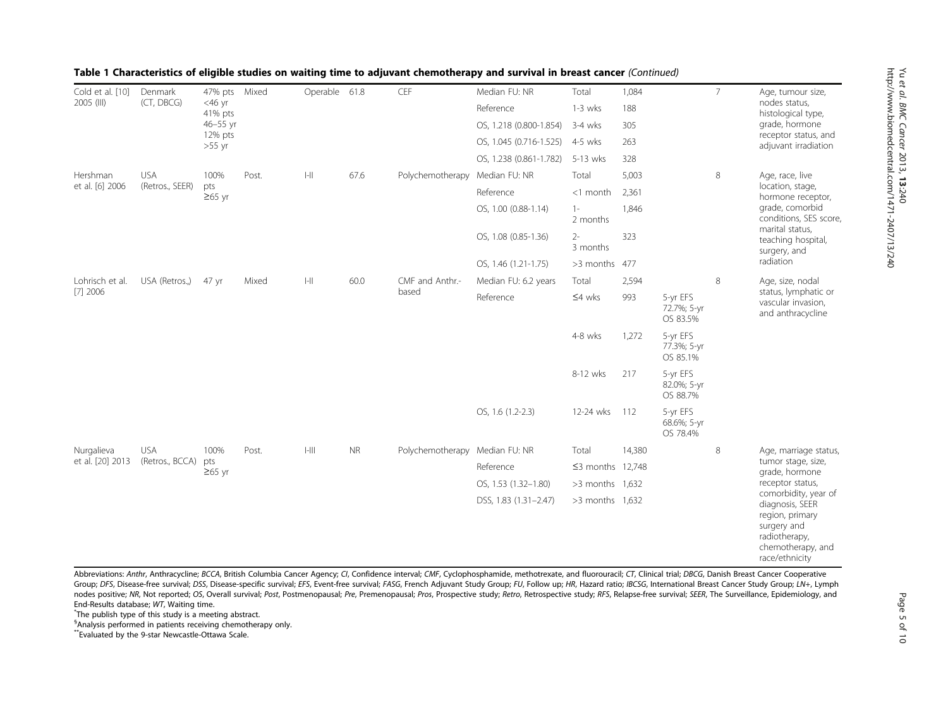| Cold et al. [10]<br>2005 (III) | Denmark<br>(CT, DBCG)         | 47% pts Mixed<br>$<$ 46 yr<br>41% pts<br>46-55 yr<br>12% pts<br>$>55$ yr |       | Operable 61.8 |           | CEF                            | Median FU: NR                   | Total                  | 1,084  |                                     | $\overline{7}$            | Age, tumour size,<br>nodes status,<br>histological type,<br>grade, hormone<br>receptor status, and<br>adjuvant irradiation                            |
|--------------------------------|-------------------------------|--------------------------------------------------------------------------|-------|---------------|-----------|--------------------------------|---------------------------------|------------------------|--------|-------------------------------------|---------------------------|-------------------------------------------------------------------------------------------------------------------------------------------------------|
|                                |                               |                                                                          |       |               |           |                                | Reference                       | $1-3$ wks              | 188    |                                     |                           |                                                                                                                                                       |
|                                |                               |                                                                          |       |               |           |                                | OS, 1.218 (0.800-1.854)         | $3-4$ wks              | 305    |                                     |                           |                                                                                                                                                       |
|                                |                               |                                                                          |       |               |           |                                | OS, 1.045 (0.716-1.525) 4-5 wks |                        | 263    |                                     |                           |                                                                                                                                                       |
|                                |                               |                                                                          |       |               |           |                                | OS, 1.238 (0.861-1.782)         | 5-13 wks               | 328    |                                     |                           |                                                                                                                                                       |
| Hershman<br>et al. [6] 2006    | <b>USA</b><br>(Retros., SEER) | 100%<br>pts<br>$\geq 65$ yr                                              | Post. | $  -   $      | 67.6      | Polychemotherapy Median FU: NR |                                 | Total                  | 5,003  |                                     | 8                         | Age, race, live                                                                                                                                       |
|                                |                               |                                                                          |       |               |           |                                | Reference                       | <1 month               | 2,361  |                                     |                           | location, stage,<br>hormone receptor,                                                                                                                 |
|                                |                               |                                                                          |       |               |           |                                | OS, 1.00 (0.88-1.14)            | $1 -$<br>2 months      | 1,846  |                                     |                           | grade, comorbid<br>conditions, SES score,<br>marital status,                                                                                          |
|                                |                               |                                                                          |       |               |           |                                | OS, 1.08 (0.85-1.36)            | $2 -$<br>3 months      | 323    |                                     | surgery, and<br>radiation | teaching hospital,                                                                                                                                    |
|                                |                               |                                                                          |       |               |           |                                | OS, 1.46 (1.21-1.75)            | >3 months 477          |        |                                     |                           |                                                                                                                                                       |
| Lohrisch et al.<br>$[7]$ 2006  | USA (Retros.,)                | 47 yr                                                                    | Mixed | $ -  $        | 60.0      | CMF and Anthr.-<br>based       | Median FU: 6.2 years            | Total                  | 2,594  |                                     | 8                         | Age, size, nodal<br>status, lymphatic or<br>vascular invasion,<br>and anthracycline                                                                   |
|                                |                               |                                                                          |       |               |           |                                | Reference                       | $\leq 4$ wks           | 993    | 5-yr EFS<br>72.7%; 5-yr<br>OS 83.5% |                           |                                                                                                                                                       |
|                                |                               |                                                                          |       |               |           |                                |                                 | 4-8 wks                | 1,272  | 5-yr EFS<br>77.3%; 5-yr<br>OS 85.1% |                           |                                                                                                                                                       |
|                                |                               |                                                                          |       |               |           |                                |                                 | 8-12 wks               | 217    | 5-yr EFS<br>82.0%; 5-yr<br>OS 88.7% |                           |                                                                                                                                                       |
|                                |                               |                                                                          |       |               |           |                                | OS, 1.6 (1.2-2.3)               | 12-24 wks              | 112    | 5-yr EFS<br>68.6%; 5-yr<br>OS 78.4% |                           |                                                                                                                                                       |
| Nurgalieva<br>et al. [20] 2013 | <b>USA</b><br>(Retros., BCCA) | 100%<br>pts<br>$≥65$ yr                                                  | Post. | $ -   $       | <b>NR</b> | Polychemotherapy Median FU: NR |                                 | Total                  | 14,380 |                                     | 8                         | Age, marriage status,                                                                                                                                 |
|                                |                               |                                                                          |       |               |           |                                | Reference                       | $\leq$ 3 months 12,748 |        |                                     |                           | tumor stage, size,<br>grade, hormone                                                                                                                  |
|                                |                               |                                                                          |       |               |           |                                | OS, 1.53 (1.32-1.80)            | $>3$ months 1,632      |        |                                     |                           | receptor status,<br>comorbidity, year of<br>diagnosis, SEER<br>region, primary<br>surgery and<br>radiotherapy,<br>chemotherapy, and<br>race/ethnicity |
|                                |                               |                                                                          |       |               |           |                                | DSS, 1.83 (1.31-2.47)           | $>3$ months 1,632      |        |                                     |                           |                                                                                                                                                       |

#### Table 1 Characteristics of eligible studies on waiting time to adjuvant chemotherapy and survival in breast cancer (Continued)

Abbreviations: Anthr, Anthracycline; BCCA, British Columbia Cancer Agency; CI, Confidence interval; CMF, Cyclophosphamide, methotrexate, and fluorouracil; CT, Clinical trial; DBCG, Danish Breast Cancer Cooperative Group; DFS, Disease-free survival; DSS, Disease-specific survival; EFS, Event-free survival; FASG, French Adjuvant Study Group; FU, Follow up; HR, Hazard ratio; IBCSG, International Breast Cancer Study Group; LN+, Lymph nodes positive; NR, Not reported; OS, Overall survival; Post, Postmenopausal; Pre, Premenopausal; Pros, Prospective study; Retro, Retrospective study; RFS, Relapse-free survival; SEER, The Surveillance, Epidemiology, and End-Results database; WT, Waiting time. \*

The publish type of this study is a meeting abstract.

§ Analysis performed in patients receiving chemotherapy only.

\*\*Evaluated by the 9-star Newcastle-Ottawa Scale.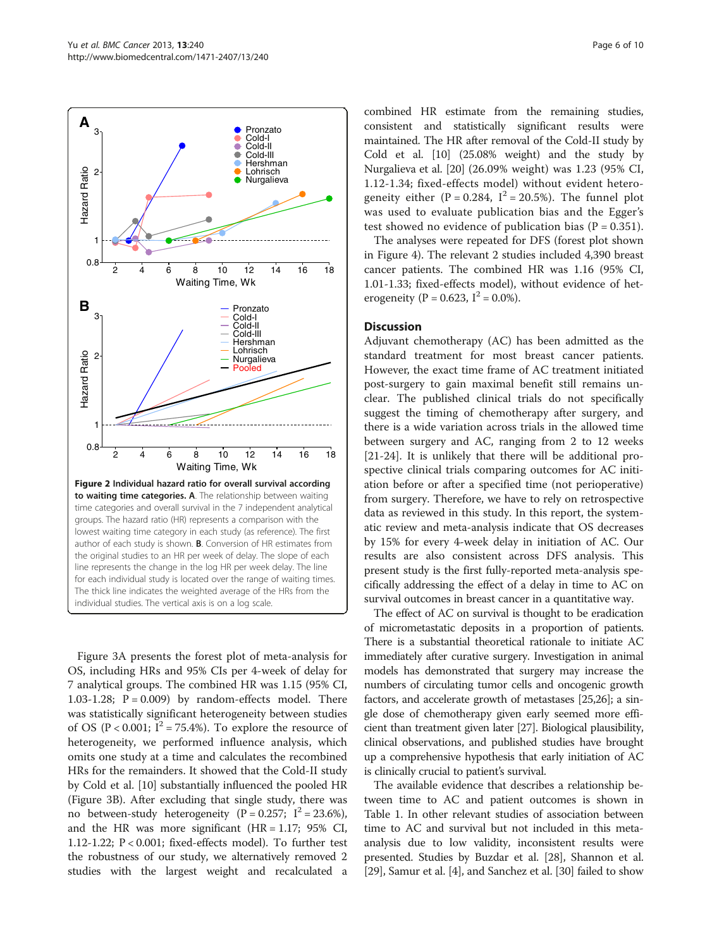**A**

Hazard Ratio

Hazard Ratio

2

3

**B**

Hazard Ratio

Hazard Ratio

2

3

0.8 1

0.8

1

<span id="page-5-0"></span>

2 4 6 8 10 12 14 16 18 Waiting Time, Wk Figure 2 Individual hazard ratio for overall survival according to waiting time categories. A. The relationship between waiting time categories and overall survival in the 7 independent analytical groups. The hazard ratio (HR) represents a comparison with the lowest waiting time category in each study (as reference). The first author of each study is shown. B. Conversion of HR estimates from the original studies to an HR per week of delay. The slope of each line represents the change in the log HR per week delay. The line for each individual study is located over the range of waiting times. The thick line indicates the weighted average of the HRs from the individual studies. The vertical axis is on a log scale.

Figure [3A](#page-6-0) presents the forest plot of meta-analysis for OS, including HRs and 95% CIs per 4-week of delay for 7 analytical groups. The combined HR was 1.15 (95% CI, 1.03-1.28;  $P = 0.009$ ) by random-effects model. There was statistically significant heterogeneity between studies of OS (P < 0.001;  $I^2 = 75.4\%$ ). To explore the resource of heterogeneity, we performed influence analysis, which omits one study at a time and calculates the recombined HRs for the remainders. It showed that the Cold-II study by Cold et al. [\[10](#page-8-0)] substantially influenced the pooled HR (Figure [3](#page-6-0)B). After excluding that single study, there was no between-study heterogeneity (P = 0.257;  $I^2 = 23.6\%$ ), and the HR was more significant  $(HR = 1.17; 95\% \text{ CI},$ 1.12-1.22; P < 0.001; fixed-effects model). To further test the robustness of our study, we alternatively removed 2 studies with the largest weight and recalculated a

combined HR estimate from the remaining studies, consistent and statistically significant results were maintained. The HR after removal of the Cold-II study by Cold et al. [\[10](#page-8-0)] (25.08% weight) and the study by Nurgalieva et al. [\[20\]](#page-8-0) (26.09% weight) was 1.23 (95% CI, 1.12-1.34; fixed-effects model) without evident heterogeneity either (P = 0.284,  $I^2 = 20.5\%$ ). The funnel plot was used to evaluate publication bias and the Egger's test showed no evidence of publication bias ( $P = 0.351$ ).

The analyses were repeated for DFS (forest plot shown in Figure [4](#page-6-0)). The relevant 2 studies included 4,390 breast cancer patients. The combined HR was 1.16 (95% CI, 1.01-1.33; fixed-effects model), without evidence of heterogeneity (P = 0.623,  $I^2$  = 0.0%).

#### **Discussion**

Adjuvant chemotherapy (AC) has been admitted as the standard treatment for most breast cancer patients. However, the exact time frame of AC treatment initiated post-surgery to gain maximal benefit still remains unclear. The published clinical trials do not specifically suggest the timing of chemotherapy after surgery, and there is a wide variation across trials in the allowed time between surgery and AC, ranging from 2 to 12 weeks [[21-24](#page-8-0)]. It is unlikely that there will be additional prospective clinical trials comparing outcomes for AC initiation before or after a specified time (not perioperative) from surgery. Therefore, we have to rely on retrospective data as reviewed in this study. In this report, the systematic review and meta-analysis indicate that OS decreases by 15% for every 4-week delay in initiation of AC. Our results are also consistent across DFS analysis. This present study is the first fully-reported meta-analysis specifically addressing the effect of a delay in time to AC on survival outcomes in breast cancer in a quantitative way.

The effect of AC on survival is thought to be eradication of micrometastatic deposits in a proportion of patients. There is a substantial theoretical rationale to initiate AC immediately after curative surgery. Investigation in animal models has demonstrated that surgery may increase the numbers of circulating tumor cells and oncogenic growth factors, and accelerate growth of metastases [[25,26\]](#page-8-0); a single dose of chemotherapy given early seemed more efficient than treatment given later [[27](#page-8-0)]. Biological plausibility, clinical observations, and published studies have brought up a comprehensive hypothesis that early initiation of AC is clinically crucial to patient's survival.

The available evidence that describes a relationship between time to AC and patient outcomes is shown in Table [1](#page-3-0). In other relevant studies of association between time to AC and survival but not included in this metaanalysis due to low validity, inconsistent results were presented. Studies by Buzdar et al. [\[28](#page-8-0)], Shannon et al. [[29](#page-8-0)], Samur et al. [\[4](#page-8-0)], and Sanchez et al. [[30](#page-8-0)] failed to show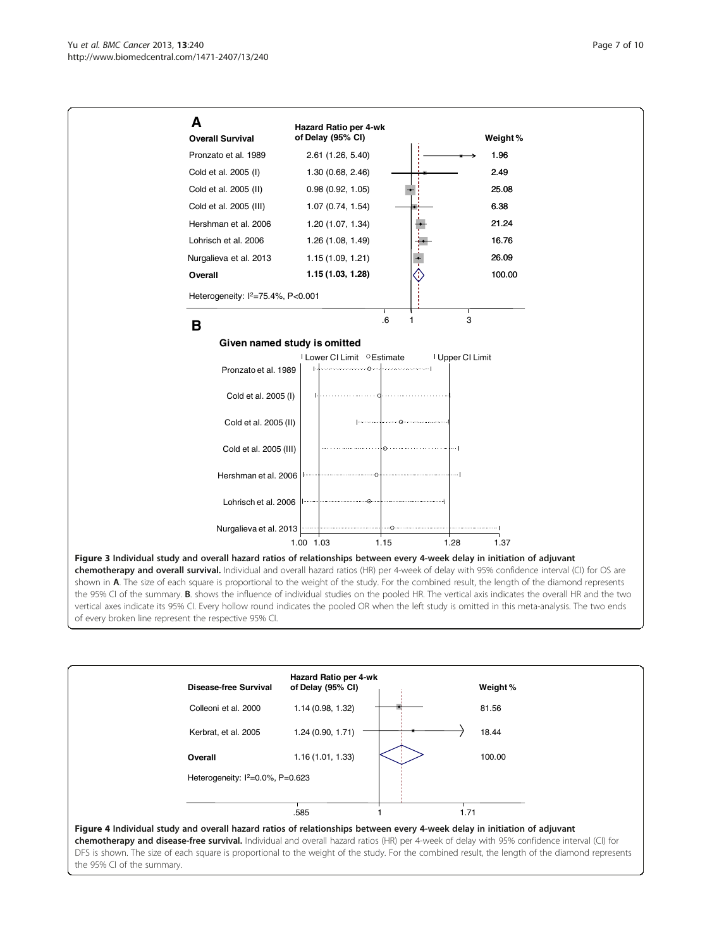<span id="page-6-0"></span>

chemotherapy and overall survival. Individual and overall hazard ratios (HR) per 4-week of delay with 95% confidence interval (CI) for OS are shown in A. The size of each square is proportional to the weight of the study. For the combined result, the length of the diamond represents the 95% CI of the summary. B. shows the influence of individual studies on the pooled HR. The vertical axis indicates the overall HR and the two vertical axes indicate its 95% CI. Every hollow round indicates the pooled OR when the left study is omitted in this meta-analysis. The two ends of every broken line represent the respective 95% CI.

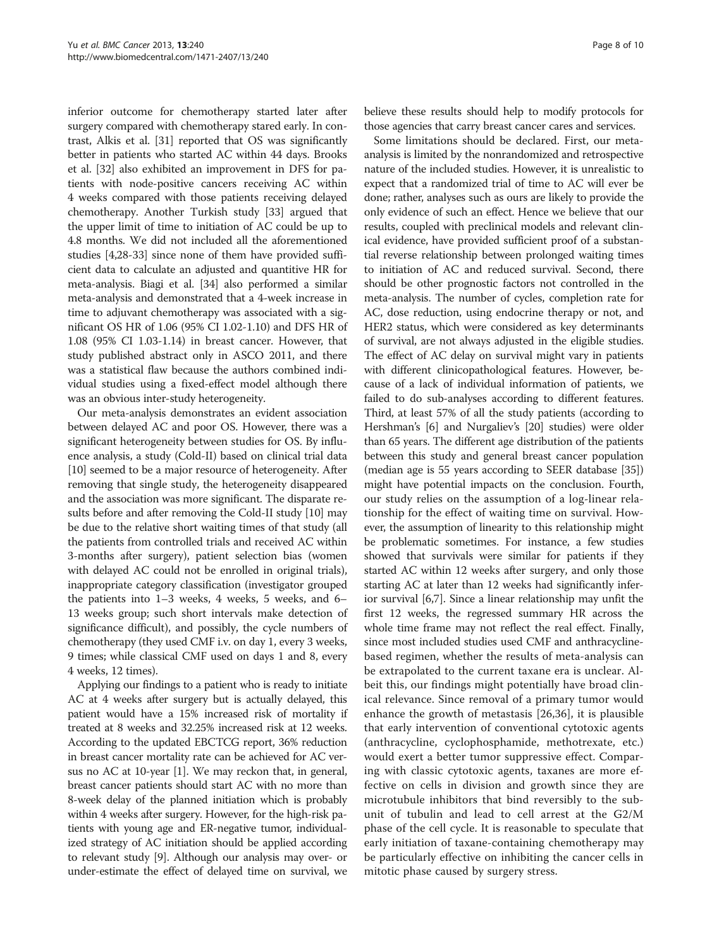inferior outcome for chemotherapy started later after surgery compared with chemotherapy stared early. In contrast, Alkis et al. [[31](#page-9-0)] reported that OS was significantly better in patients who started AC within 44 days. Brooks et al. [\[32](#page-9-0)] also exhibited an improvement in DFS for patients with node-positive cancers receiving AC within 4 weeks compared with those patients receiving delayed chemotherapy. Another Turkish study [[33\]](#page-9-0) argued that the upper limit of time to initiation of AC could be up to 4.8 months. We did not included all the aforementioned studies [[4,28](#page-8-0)-[33\]](#page-9-0) since none of them have provided sufficient data to calculate an adjusted and quantitive HR for meta-analysis. Biagi et al. [\[34\]](#page-9-0) also performed a similar meta-analysis and demonstrated that a 4-week increase in time to adjuvant chemotherapy was associated with a significant OS HR of 1.06 (95% CI 1.02-1.10) and DFS HR of 1.08 (95% CI 1.03-1.14) in breast cancer. However, that study published abstract only in ASCO 2011, and there was a statistical flaw because the authors combined individual studies using a fixed-effect model although there was an obvious inter-study heterogeneity.

Our meta-analysis demonstrates an evident association between delayed AC and poor OS. However, there was a significant heterogeneity between studies for OS. By influence analysis, a study (Cold-II) based on clinical trial data [[10](#page-8-0)] seemed to be a major resource of heterogeneity. After removing that single study, the heterogeneity disappeared and the association was more significant. The disparate results before and after removing the Cold-II study [\[10\]](#page-8-0) may be due to the relative short waiting times of that study (all the patients from controlled trials and received AC within 3-months after surgery), patient selection bias (women with delayed AC could not be enrolled in original trials), inappropriate category classification (investigator grouped the patients into 1–3 weeks, 4 weeks, 5 weeks, and 6– 13 weeks group; such short intervals make detection of significance difficult), and possibly, the cycle numbers of chemotherapy (they used CMF i.v. on day 1, every 3 weeks, 9 times; while classical CMF used on days 1 and 8, every 4 weeks, 12 times).

Applying our findings to a patient who is ready to initiate AC at 4 weeks after surgery but is actually delayed, this patient would have a 15% increased risk of mortality if treated at 8 weeks and 32.25% increased risk at 12 weeks. According to the updated EBCTCG report, 36% reduction in breast cancer mortality rate can be achieved for AC versus no AC at 10-year [\[1\]](#page-8-0). We may reckon that, in general, breast cancer patients should start AC with no more than 8-week delay of the planned initiation which is probably within 4 weeks after surgery. However, for the high-risk patients with young age and ER-negative tumor, individualized strategy of AC initiation should be applied according to relevant study [[9](#page-8-0)]. Although our analysis may over- or under-estimate the effect of delayed time on survival, we

believe these results should help to modify protocols for those agencies that carry breast cancer cares and services.

Some limitations should be declared. First, our metaanalysis is limited by the nonrandomized and retrospective nature of the included studies. However, it is unrealistic to expect that a randomized trial of time to AC will ever be done; rather, analyses such as ours are likely to provide the only evidence of such an effect. Hence we believe that our results, coupled with preclinical models and relevant clinical evidence, have provided sufficient proof of a substantial reverse relationship between prolonged waiting times to initiation of AC and reduced survival. Second, there should be other prognostic factors not controlled in the meta-analysis. The number of cycles, completion rate for AC, dose reduction, using endocrine therapy or not, and HER2 status, which were considered as key determinants of survival, are not always adjusted in the eligible studies. The effect of AC delay on survival might vary in patients with different clinicopathological features. However, because of a lack of individual information of patients, we failed to do sub-analyses according to different features. Third, at least 57% of all the study patients (according to Hershman's [\[6](#page-8-0)] and Nurgaliev's [\[20\]](#page-8-0) studies) were older than 65 years. The different age distribution of the patients between this study and general breast cancer population (median age is 55 years according to SEER database [[35](#page-9-0)]) might have potential impacts on the conclusion. Fourth, our study relies on the assumption of a log-linear relationship for the effect of waiting time on survival. However, the assumption of linearity to this relationship might be problematic sometimes. For instance, a few studies showed that survivals were similar for patients if they started AC within 12 weeks after surgery, and only those starting AC at later than 12 weeks had significantly inferior survival [\[6,7\]](#page-8-0). Since a linear relationship may unfit the first 12 weeks, the regressed summary HR across the whole time frame may not reflect the real effect. Finally, since most included studies used CMF and anthracyclinebased regimen, whether the results of meta-analysis can be extrapolated to the current taxane era is unclear. Albeit this, our findings might potentially have broad clinical relevance. Since removal of a primary tumor would enhance the growth of metastasis [[26](#page-8-0)[,36](#page-9-0)], it is plausible that early intervention of conventional cytotoxic agents (anthracycline, cyclophosphamide, methotrexate, etc.) would exert a better tumor suppressive effect. Comparing with classic cytotoxic agents, taxanes are more effective on cells in division and growth since they are microtubule inhibitors that bind reversibly to the subunit of tubulin and lead to cell arrest at the G2/M phase of the cell cycle. It is reasonable to speculate that early initiation of taxane-containing chemotherapy may be particularly effective on inhibiting the cancer cells in mitotic phase caused by surgery stress.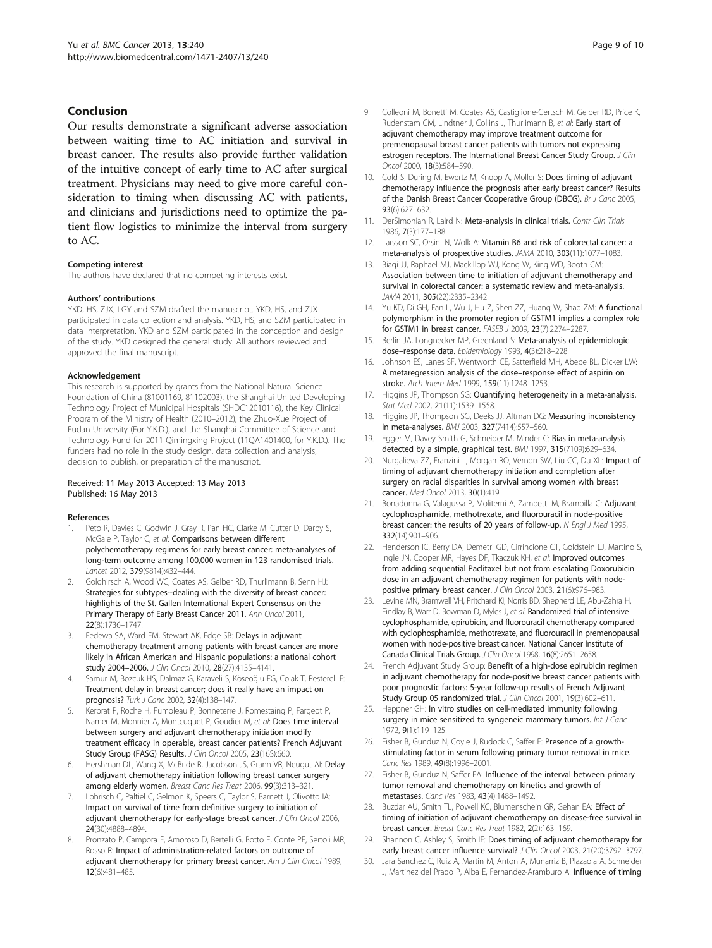## <span id="page-8-0"></span>Conclusion

Our results demonstrate a significant adverse association between waiting time to AC initiation and survival in breast cancer. The results also provide further validation of the intuitive concept of early time to AC after surgical treatment. Physicians may need to give more careful consideration to timing when discussing AC with patients, and clinicians and jurisdictions need to optimize the patient flow logistics to minimize the interval from surgery to AC.

#### Competing interest

The authors have declared that no competing interests exist.

#### Authors' contributions

YKD, HS, ZJX, LGY and SZM drafted the manuscript. YKD, HS, and ZJX participated in data collection and analysis. YKD, HS, and SZM participated in data interpretation. YKD and SZM participated in the conception and design of the study. YKD designed the general study. All authors reviewed and approved the final manuscript.

#### Acknowledgement

This research is supported by grants from the National Natural Science Foundation of China (81001169, 81102003), the Shanghai United Developing Technology Project of Municipal Hospitals (SHDC12010116), the Key Clinical Program of the Ministry of Health (2010–2012), the Zhuo-Xue Project of Fudan University (For Y.K.D.), and the Shanghai Committee of Science and Technology Fund for 2011 Qimingxing Project (11QA1401400, for Y.K.D.). The funders had no role in the study design, data collection and analysis, decision to publish, or preparation of the manuscript.

#### Received: 11 May 2013 Accepted: 13 May 2013 Published: 16 May 2013

#### References

- Peto R, Davies C, Godwin J, Gray R, Pan HC, Clarke M, Cutter D, Darby S, McGale P, Taylor C, et al: Comparisons between different polychemotherapy regimens for early breast cancer: meta-analyses of long-term outcome among 100,000 women in 123 randomised trials. Lancet 2012, 379(9814):432–444.
- 2. Goldhirsch A, Wood WC, Coates AS, Gelber RD, Thurlimann B, Senn HJ: Strategies for subtypes--dealing with the diversity of breast cancer: highlights of the St. Gallen International Expert Consensus on the Primary Therapy of Early Breast Cancer 2011. Ann Oncol 2011, 22(8):1736–1747.
- 3. Fedewa SA, Ward EM, Stewart AK, Edge SB: Delays in adjuvant chemotherapy treatment among patients with breast cancer are more likely in African American and Hispanic populations: a national cohort study 2004–2006. J Clin Oncol 2010, 28(27):4135–4141.
- 4. Samur M, Bozcuk HS, Dalmaz G, Karaveli S, Köseoğlu FG, Colak T, Pestereli E: Treatment delay in breast cancer; does it really have an impact on prognosis? Turk J Canc 2002, 32(4):138–147.
- 5. Kerbrat P, Roche H, Fumoleau P, Bonneterre J, Romestaing P, Fargeot P, Namer M, Monnier A, Montcuquet P, Goudier M, et al: Does time interval between surgery and adjuvant chemotherapy initiation modify treatment efficacy in operable, breast cancer patients? French Adjuvant Study Group (FASG) Results. J Clin Oncol 2005, 23(16S):660.
- 6. Hershman DL, Wang X, McBride R, Jacobson JS, Grann VR, Neugut AI: Delay of adjuvant chemotherapy initiation following breast cancer surgery among elderly women. Breast Canc Res Treat 2006, 99(3):313–321.
- 7. Lohrisch C, Paltiel C, Gelmon K, Speers C, Taylor S, Barnett J, Olivotto IA: Impact on survival of time from definitive surgery to initiation of adjuvant chemotherapy for early-stage breast cancer. J Clin Oncol 2006, 24(30):4888–4894.
- 8. Pronzato P, Campora E, Amoroso D, Bertelli G, Botto F, Conte PF, Sertoli MR, Rosso R: Impact of administration-related factors on outcome of adjuvant chemotherapy for primary breast cancer. Am J Clin Oncol 1989, 12(6):481–485.
- 9. Colleoni M, Bonetti M, Coates AS, Castiglione-Gertsch M, Gelber RD, Price K, Rudenstam CM, Lindtner J, Collins J, Thurlimann B, et al: Early start of adjuvant chemotherapy may improve treatment outcome for premenopausal breast cancer patients with tumors not expressing estrogen receptors. The International Breast Cancer Study Group. J Clin Oncol 2000, 18(3):584–590.
- 10. Cold S, During M, Ewertz M, Knoop A, Moller S: Does timing of adjuvant chemotherapy influence the prognosis after early breast cancer? Results of the Danish Breast Cancer Cooperative Group (DBCG). Br J Canc 2005, 93(6):627–632.
- 11. DerSimonian R, Laird N: Meta-analysis in clinical trials. Contr Clin Trials 1986, 7(3):177–188.
- 12. Larsson SC, Orsini N, Wolk A: Vitamin B6 and risk of colorectal cancer: a meta-analysis of prospective studies. JAMA 2010, 303(11):1077–1083.
- 13. Biagi JJ, Raphael MJ, Mackillop WJ, Kong W, King WD, Booth CM: Association between time to initiation of adjuvant chemotherapy and survival in colorectal cancer: a systematic review and meta-analysis. JAMA 2011, 305(22):2335–2342.
- 14. Yu KD, Di GH, Fan L, Wu J, Hu Z, Shen ZZ, Huang W, Shao ZM: A functional polymorphism in the promoter region of GSTM1 implies a complex role for GSTM1 in breast cancer. FASEB J 2009, 23(7):2274–2287.
- 15. Berlin JA, Longnecker MP, Greenland S: Meta-analysis of epidemiologic dose–response data. Epidemiology 1993, 4(3):218–228.
- 16. Johnson ES, Lanes SF, Wentworth CE, Satterfield MH, Abebe BL, Dicker LW: A metaregression analysis of the dose–response effect of aspirin on stroke. Arch Intern Med 1999, 159(11):1248–1253.
- 17. Higgins JP, Thompson SG: Quantifying heterogeneity in a meta-analysis. Stat Med 2002, 21(11):1539–1558.
- 18. Higgins JP, Thompson SG, Deeks JJ, Altman DG: Measuring inconsistency in meta-analyses. BMJ 2003, 327(7414):557–560.
- 19. Egger M, Davey Smith G, Schneider M, Minder C: Bias in meta-analysis detected by a simple, graphical test. BMJ 1997, 315(7109):629–634.
- 20. Nurgalieva ZZ, Franzini L, Morgan RO, Vernon SW, Liu CC, Du XL: Impact of timing of adjuvant chemotherapy initiation and completion after surgery on racial disparities in survival among women with breast cancer. Med Oncol 2013, 30(1):419.
- 21. Bonadonna G, Valagussa P, Moliterni A, Zambetti M, Brambilla C: Adjuvant cyclophosphamide, methotrexate, and fluorouracil in node-positive breast cancer: the results of 20 years of follow-up. N Engl J Med 1995, 332(14):901–906.
- 22. Henderson IC, Berry DA, Demetri GD, Cirrincione CT, Goldstein LJ, Martino S, Ingle JN, Cooper MR, Hayes DF, Tkaczuk KH, et al: Improved outcomes from adding sequential Paclitaxel but not from escalating Doxorubicin dose in an adjuvant chemotherapy regimen for patients with nodepositive primary breast cancer. J Clin Oncol 2003, 21(6):976-983.
- 23. Levine MN, Bramwell VH, Pritchard KI, Norris BD, Shepherd LE, Abu-Zahra H, Findlay B, Warr D, Bowman D, Myles J, et al: Randomized trial of intensive cyclophosphamide, epirubicin, and fluorouracil chemotherapy compared with cyclophosphamide, methotrexate, and fluorouracil in premenopausal women with node-positive breast cancer. National Cancer Institute of Canada Clinical Trials Group. J Clin Oncol 1998, 16(8):2651–2658.
- 24. French Adjuvant Study Group: Benefit of a high-dose epirubicin regimen in adjuvant chemotherapy for node-positive breast cancer patients with poor prognostic factors: 5-year follow-up results of French Adjuvant Study Group 05 randomized trial. J Clin Oncol 2001, 19(3):602-611.
- 25. Heppner GH: In vitro studies on cell-mediated immunity following surgery in mice sensitized to syngeneic mammary tumors. Int J Canc 1972, 9(1):119–125.
- 26. Fisher B, Gunduz N, Coyle J, Rudock C, Saffer E: Presence of a growthstimulating factor in serum following primary tumor removal in mice. Canc Res 1989, 49(8):1996–2001.
- 27. Fisher B, Gunduz N, Saffer EA: Influence of the interval between primary tumor removal and chemotherapy on kinetics and growth of metastases. Canc Res 1983, 43(4):1488–1492.
- 28. Buzdar AU, Smith TL, Powell KC, Blumenschein GR, Gehan EA: Effect of timing of initiation of adjuvant chemotherapy on disease-free survival in breast cancer. Breast Canc Res Treat 1982, 2(2):163–169.
- 29. Shannon C, Ashley S, Smith IE: Does timing of adjuvant chemotherapy for early breast cancer influence survival? J Clin Oncol 2003, 21(20):3792-3797.
- 30. Jara Sanchez C, Ruiz A, Martin M, Anton A, Munarriz B, Plazaola A, Schneider J, Martinez del Prado P, Alba E, Fernandez-Aramburo A: Influence of timing